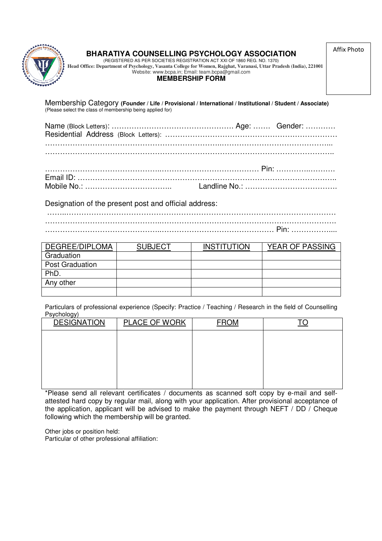

# **BHARATIYA COUNSELLING PSYCHOLOGY ASSOCIATION**

Affix Photo

(REGISTERED AS PER SOCIETIES REGISTRATION ACT XXI OF 1860 REG. NO. 1370) **Head Office: Department of Psychology, Vasanta College for Women, Rajghat, Varanasi, Uttar Pradesh (India), 221001**  Website: www.bcpa.in; Email: team.bcpa@gmail.com

# **MEMBERSHIP FORM**

Membership Category **(Founder / Life / Provisional / International / Institutional / Student / Associate)**  (Please select the class of membership being applied for)

Designation of the present post and official address:

|  | . |
|--|---|

| DEGREE/DIPLOMA         | <b>SUBJECT</b> | <b>INSTITUTION</b> | <b>YEAR OF PASSING</b> |
|------------------------|----------------|--------------------|------------------------|
| Graduation             |                |                    |                        |
| <b>Post Graduation</b> |                |                    |                        |
| PhD.                   |                |                    |                        |
| Any other              |                |                    |                        |
|                        |                |                    |                        |

Particulars of professional experience (Specify: Practice / Teaching / Research in the field of Counselling Psychology)

| <b>DESIGNATION</b> | <b>PLACE OF WORK</b> | <b>FROM</b> | <u>TO</u> |
|--------------------|----------------------|-------------|-----------|
|                    |                      |             |           |
|                    |                      |             |           |
|                    |                      |             |           |
|                    |                      |             |           |
|                    |                      |             |           |

\*Please send all relevant certificates / documents as scanned soft copy by e-mail and selfattested hard copy by regular mail, along with your application. After provisional acceptance of the application, applicant will be advised to make the payment through NEFT / DD / Cheque following which the membership will be granted.

Other jobs or position held: Particular of other professional affiliation: